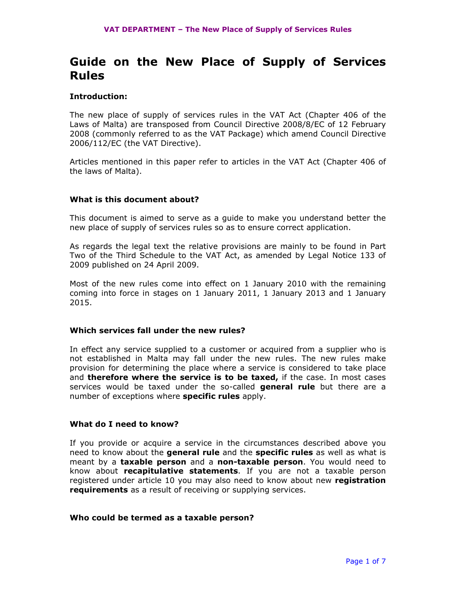# Guide on the New Place of Supply of Services Rules

## Introduction:

The new place of supply of services rules in the VAT Act (Chapter 406 of the Laws of Malta) are transposed from Council Directive 2008/8/EC of 12 February 2008 (commonly referred to as the VAT Package) which amend Council Directive 2006/112/EC (the VAT Directive).

Articles mentioned in this paper refer to articles in the VAT Act (Chapter 406 of the laws of Malta).

## What is this document about?

This document is aimed to serve as a guide to make you understand better the new place of supply of services rules so as to ensure correct application.

As regards the legal text the relative provisions are mainly to be found in Part Two of the Third Schedule to the VAT Act, as amended by Legal Notice 133 of 2009 published on 24 April 2009.

Most of the new rules come into effect on 1 January 2010 with the remaining coming into force in stages on 1 January 2011, 1 January 2013 and 1 January 2015.

## Which services fall under the new rules?

In effect any service supplied to a customer or acquired from a supplier who is not established in Malta may fall under the new rules. The new rules make provision for determining the place where a service is considered to take place and **therefore where the service is to be taxed,** if the case. In most cases services would be taxed under the so-called **general rule** but there are a number of exceptions where **specific rules** apply.

## What do I need to know?

If you provide or acquire a service in the circumstances described above you need to know about the **general rule** and the **specific rules** as well as what is meant by a **taxable person** and a non-taxable person. You would need to know about recapitulative statements. If you are not a taxable person registered under article 10 you may also need to know about new registration **requirements** as a result of receiving or supplying services.

#### Who could be termed as a taxable person?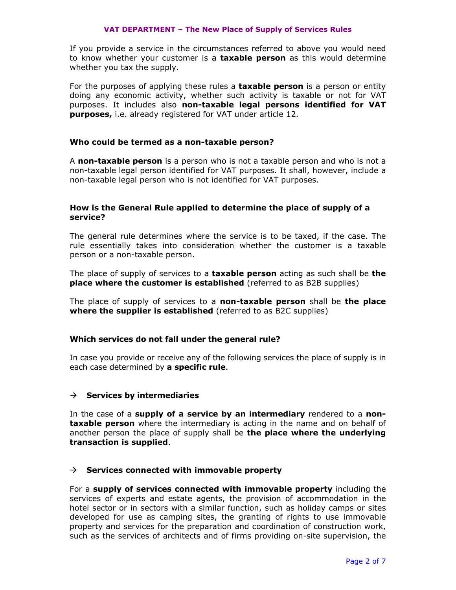#### VAT DEPARTMENT – The New Place of Supply of Services Rules

If you provide a service in the circumstances referred to above you would need to know whether your customer is a taxable person as this would determine whether you tax the supply.

For the purposes of applying these rules a **taxable person** is a person or entity doing any economic activity, whether such activity is taxable or not for VAT purposes. It includes also non-taxable legal persons identified for VAT purposes, i.e. already registered for VAT under article 12.

## Who could be termed as a non-taxable person?

A non-taxable person is a person who is not a taxable person and who is not a non-taxable legal person identified for VAT purposes. It shall, however, include a non-taxable legal person who is not identified for VAT purposes.

## How is the General Rule applied to determine the place of supply of a service?

The general rule determines where the service is to be taxed, if the case. The rule essentially takes into consideration whether the customer is a taxable person or a non-taxable person.

The place of supply of services to a **taxable person** acting as such shall be **the** place where the customer is established (referred to as B2B supplies)

The place of supply of services to a **non-taxable person** shall be **the place** where the supplier is established (referred to as B2C supplies)

## Which services do not fall under the general rule?

In case you provide or receive any of the following services the place of supply is in each case determined by a specific rule.

## $\rightarrow$  Services by intermediaries

In the case of a supply of a service by an intermediary rendered to a non**taxable person** where the intermediary is acting in the name and on behalf of another person the place of supply shall be the place where the underlying transaction is supplied.

## $\rightarrow$  Services connected with immovable property

For a supply of services connected with immovable property including the services of experts and estate agents, the provision of accommodation in the hotel sector or in sectors with a similar function, such as holiday camps or sites developed for use as camping sites, the granting of rights to use immovable property and services for the preparation and coordination of construction work, such as the services of architects and of firms providing on-site supervision, the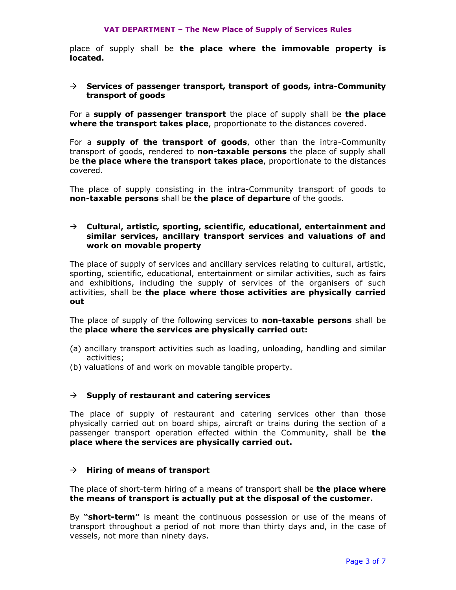place of supply shall be the place where the immovable property is located.

#### $\rightarrow$  Services of passenger transport, transport of goods, intra-Community transport of goods

For a supply of passenger transport the place of supply shall be the place where the transport takes place, proportionate to the distances covered.

For a supply of the transport of goods, other than the intra-Community transport of goods, rendered to non-taxable persons the place of supply shall be the place where the transport takes place, proportionate to the distances covered.

The place of supply consisting in the intra-Community transport of goods to non-taxable persons shall be the place of departure of the goods.

## $\rightarrow$  Cultural, artistic, sporting, scientific, educational, entertainment and similar services, ancillary transport services and valuations of and work on movable property

The place of supply of services and ancillary services relating to cultural, artistic, sporting, scientific, educational, entertainment or similar activities, such as fairs and exhibitions, including the supply of services of the organisers of such activities, shall be the place where those activities are physically carried out

The place of supply of the following services to **non-taxable persons** shall be the place where the services are physically carried out:

- (a) ancillary transport activities such as loading, unloading, handling and similar activities;
- (b) valuations of and work on movable tangible property.

## $\rightarrow$  Supply of restaurant and catering services

The place of supply of restaurant and catering services other than those physically carried out on board ships, aircraft or trains during the section of a passenger transport operation effected within the Community, shall be **the** place where the services are physically carried out.

## $\rightarrow$  Hiring of means of transport

The place of short-term hiring of a means of transport shall be the place where the means of transport is actually put at the disposal of the customer.

By "**short-term"** is meant the continuous possession or use of the means of transport throughout a period of not more than thirty days and, in the case of vessels, not more than ninety days.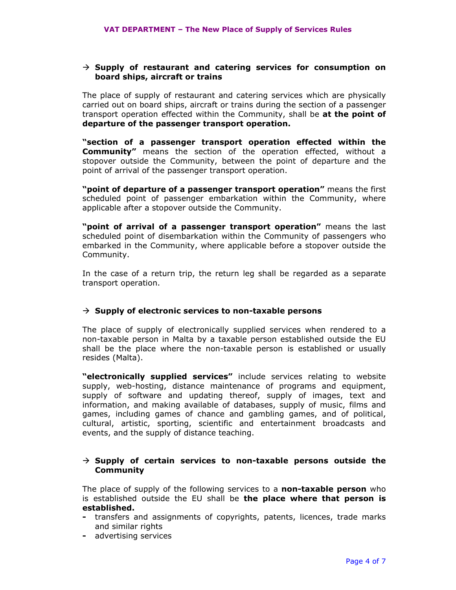#### $\rightarrow$  Supply of restaurant and catering services for consumption on board ships, aircraft or trains

The place of supply of restaurant and catering services which are physically carried out on board ships, aircraft or trains during the section of a passenger transport operation effected within the Community, shall be at the point of departure of the passenger transport operation.

"section of a passenger transport operation effected within the **Community"** means the section of the operation effected, without a stopover outside the Community, between the point of departure and the point of arrival of the passenger transport operation.

"point of departure of a passenger transport operation" means the first scheduled point of passenger embarkation within the Community, where applicable after a stopover outside the Community.

"point of arrival of a passenger transport operation" means the last scheduled point of disembarkation within the Community of passengers who embarked in the Community, where applicable before a stopover outside the Community.

In the case of a return trip, the return leg shall be regarded as a separate transport operation.

## $\rightarrow$  Supply of electronic services to non-taxable persons

The place of supply of electronically supplied services when rendered to a non-taxable person in Malta by a taxable person established outside the EU shall be the place where the non-taxable person is established or usually resides (Malta).

"electronically supplied services" include services relating to website supply, web-hosting, distance maintenance of programs and equipment, supply of software and updating thereof, supply of images, text and information, and making available of databases, supply of music, films and games, including games of chance and gambling games, and of political, cultural, artistic, sporting, scientific and entertainment broadcasts and events, and the supply of distance teaching.

# $\rightarrow$  Supply of certain services to non-taxable persons outside the **Community**

The place of supply of the following services to a non-taxable person who is established outside the EU shall be the place where that person is established.

- transfers and assignments of copyrights, patents, licences, trade marks and similar rights
- advertising services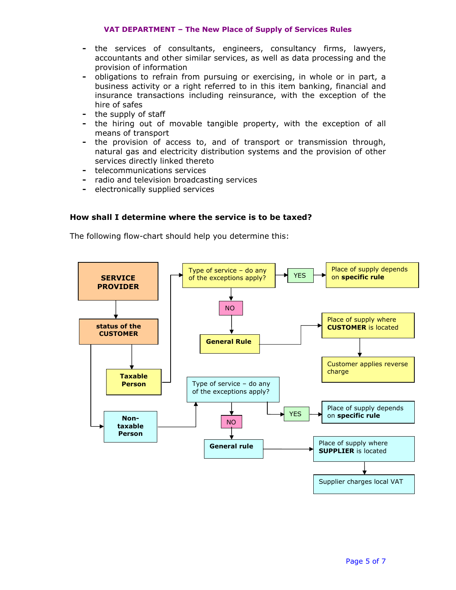#### VAT DEPARTMENT – The New Place of Supply of Services Rules

- the services of consultants, engineers, consultancy firms, lawyers, accountants and other similar services, as well as data processing and the provision of information
- obligations to refrain from pursuing or exercising, in whole or in part, a business activity or a right referred to in this item banking, financial and insurance transactions including reinsurance, with the exception of the hire of safes
- the supply of staff
- the hiring out of movable tangible property, with the exception of all means of transport
- the provision of access to, and of transport or transmission through, natural gas and electricity distribution systems and the provision of other services directly linked thereto
- telecommunications services
- radio and television broadcasting services
- electronically supplied services

# How shall I determine where the service is to be taxed?

The following flow-chart should help you determine this:

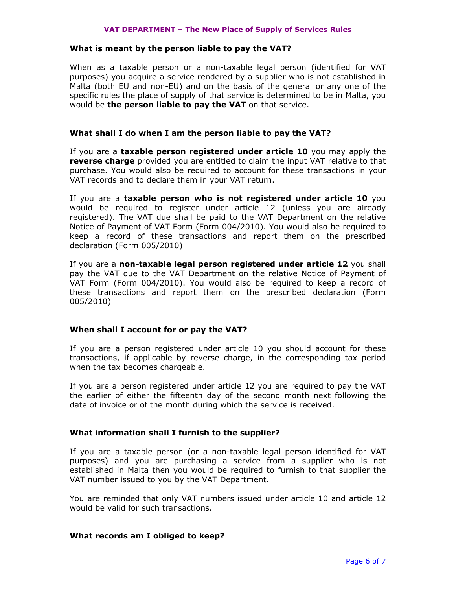#### VAT DEPARTMENT – The New Place of Supply of Services Rules

#### What is meant by the person liable to pay the VAT?

When as a taxable person or a non-taxable legal person (identified for VAT purposes) you acquire a service rendered by a supplier who is not established in Malta (both EU and non-EU) and on the basis of the general or any one of the specific rules the place of supply of that service is determined to be in Malta, you would be the person liable to pay the VAT on that service.

## What shall I do when I am the person liable to pay the VAT?

If you are a taxable person registered under article 10 you may apply the reverse charge provided you are entitled to claim the input VAT relative to that purchase. You would also be required to account for these transactions in your VAT records and to declare them in your VAT return.

If you are a taxable person who is not registered under article 10 you would be required to register under article 12 (unless you are already registered). The VAT due shall be paid to the VAT Department on the relative Notice of Payment of VAT Form (Form 004/2010). You would also be required to keep a record of these transactions and report them on the prescribed declaration (Form 005/2010)

If you are a non-taxable legal person registered under article 12 you shall pay the VAT due to the VAT Department on the relative Notice of Payment of VAT Form (Form 004/2010). You would also be required to keep a record of these transactions and report them on the prescribed declaration (Form 005/2010)

## When shall I account for or pay the VAT?

If you are a person registered under article 10 you should account for these transactions, if applicable by reverse charge, in the corresponding tax period when the tax becomes chargeable.

If you are a person registered under article 12 you are required to pay the VAT the earlier of either the fifteenth day of the second month next following the date of invoice or of the month during which the service is received.

## What information shall I furnish to the supplier?

If you are a taxable person (or a non-taxable legal person identified for VAT purposes) and you are purchasing a service from a supplier who is not established in Malta then you would be required to furnish to that supplier the VAT number issued to you by the VAT Department.

You are reminded that only VAT numbers issued under article 10 and article 12 would be valid for such transactions.

#### What records am I obliged to keep?